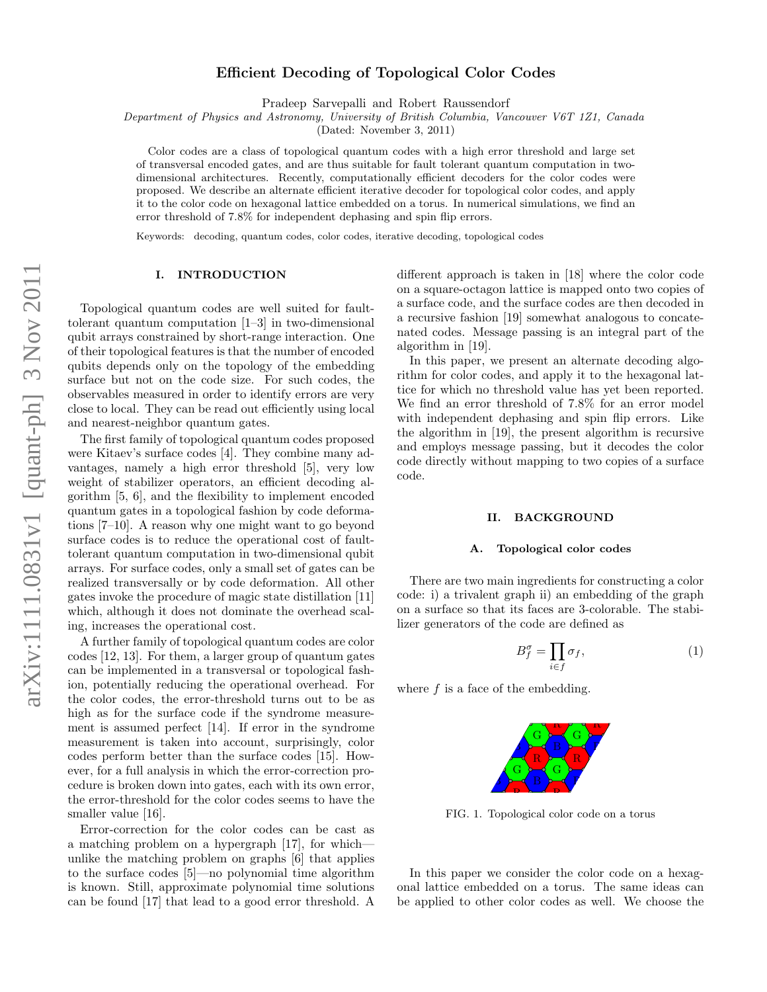# Efficient Decoding of Topological Color Codes

Pradeep Sarvepalli and Robert Raussendorf

Department of Physics and Astronomy, University of British Columbia, Vancouver V6T 1Z1, Canada

(Dated: November 3, 2011)

Color codes are a class of topological quantum codes with a high error threshold and large set of transversal encoded gates, and are thus suitable for fault tolerant quantum computation in twodimensional architectures. Recently, computationally efficient decoders for the color codes were proposed. We describe an alternate efficient iterative decoder for topological color codes, and apply it to the color code on hexagonal lattice embedded on a torus. In numerical simulations, we find an error threshold of 7.8% for independent dephasing and spin flip errors.

Keywords: decoding, quantum codes, color codes, iterative decoding, topological codes

### I. INTRODUCTION

Topological quantum codes are well suited for faulttolerant quantum computation [1–3] in two-dimensional qubit arrays constrained by short-range interaction. One of their topological features is that the number of encoded qubits depends only on the topology of the embedding surface but not on the code size. For such codes, the observables measured in order to identify errors are very close to local. They can be read out efficiently using local and nearest-neighbor quantum gates.

The first family of topological quantum codes proposed were Kitaev's surface codes [4]. They combine many advantages, namely a high error threshold [5], very low weight of stabilizer operators, an efficient decoding algorithm [5, 6], and the flexibility to implement encoded quantum gates in a topological fashion by code deformations [7–10]. A reason why one might want to go beyond surface codes is to reduce the operational cost of faulttolerant quantum computation in two-dimensional qubit arrays. For surface codes, only a small set of gates can be realized transversally or by code deformation. All other gates invoke the procedure of magic state distillation [11] which, although it does not dominate the overhead scaling, increases the operational cost.

A further family of topological quantum codes are color codes [12, 13]. For them, a larger group of quantum gates can be implemented in a transversal or topological fashion, potentially reducing the operational overhead. For the color codes, the error-threshold turns out to be as high as for the surface code if the syndrome measurement is assumed perfect [14]. If error in the syndrome measurement is taken into account, surprisingly, color codes perform better than the surface codes [15]. However, for a full analysis in which the error-correction procedure is broken down into gates, each with its own error, the error-threshold for the color codes seems to have the smaller value [16].

Error-correction for the color codes can be cast as a matching problem on a hypergraph [17], for which unlike the matching problem on graphs [6] that applies to the surface codes [5]—no polynomial time algorithm is known. Still, approximate polynomial time solutions can be found [17] that lead to a good error threshold. A

different approach is taken in [18] where the color code on a square-octagon lattice is mapped onto two copies of a surface code, and the surface codes are then decoded in a recursive fashion [19] somewhat analogous to concatenated codes. Message passing is an integral part of the algorithm in [19].

In this paper, we present an alternate decoding algorithm for color codes, and apply it to the hexagonal lattice for which no threshold value has yet been reported. We find an error threshold of 7.8% for an error model with independent dephasing and spin flip errors. Like the algorithm in [19], the present algorithm is recursive and employs message passing, but it decodes the color code directly without mapping to two copies of a surface code.

#### II. BACKGROUND

#### A. Topological color codes

There are two main ingredients for constructing a color code: i) a trivalent graph ii) an embedding of the graph on a surface so that its faces are 3-colorable. The stabilizer generators of the code are defined as

$$
B_f^{\sigma} = \prod_{i \in f} \sigma_f,\tag{1}
$$

where  $f$  is a face of the embedding.

B G B R R G R G R R G F. R F.

FIG. 1. Topological color code on a torus

In this paper we consider the color code on a hexagonal lattice embedded on a torus. The same ideas can be applied to other color codes as well. We choose the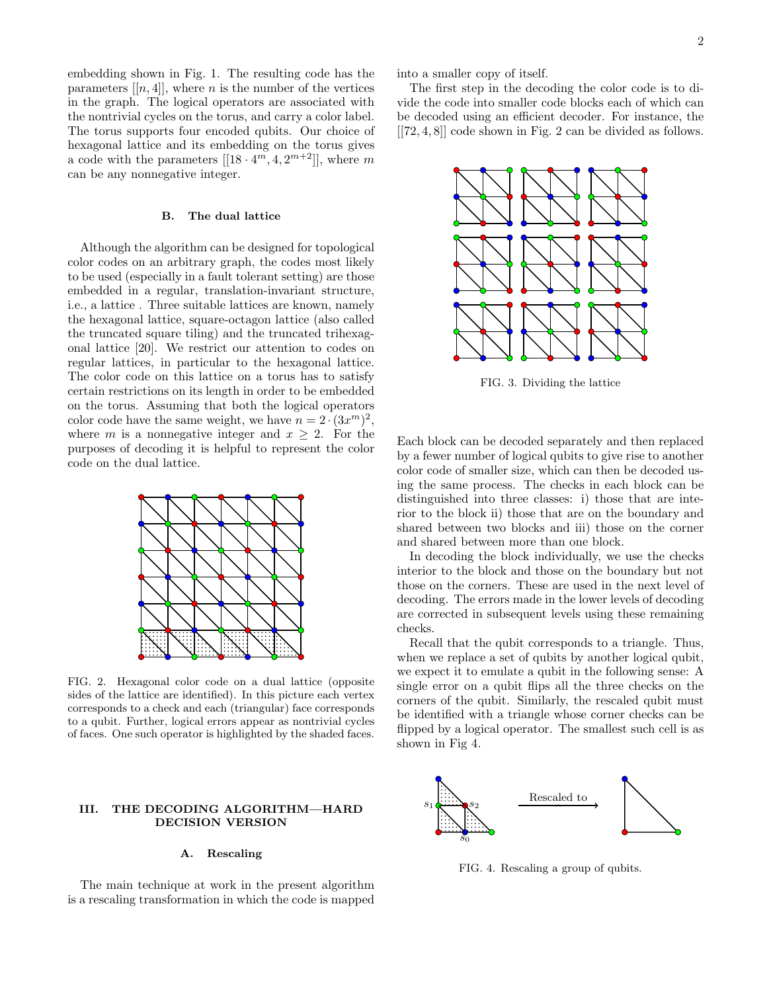embedding shown in Fig. 1. The resulting code has the parameters  $[[n, 4]]$ , where *n* is the number of the vertices in the graph. The logical operators are associated with the nontrivial cycles on the torus, and carry a color label. The torus supports four encoded qubits. Our choice of hexagonal lattice and its embedding on the torus gives a code with the parameters  $[[18 \cdot 4^m, 4, 2^{m+2}]],$  where m can be any nonnegative integer.

### B. The dual lattice

Although the algorithm can be designed for topological color codes on an arbitrary graph, the codes most likely to be used (especially in a fault tolerant setting) are those embedded in a regular, translation-invariant structure, i.e., a lattice . Three suitable lattices are known, namely the hexagonal lattice, square-octagon lattice (also called the truncated square tiling) and the truncated trihexagonal lattice [20]. We restrict our attention to codes on regular lattices, in particular to the hexagonal lattice. The color code on this lattice on a torus has to satisfy certain restrictions on its length in order to be embedded on the torus. Assuming that both the logical operators color code have the same weight, we have  $n = 2 \cdot (3x^m)^2$ , where m is a nonnegative integer and  $x \geq 2$ . For the purposes of decoding it is helpful to represent the color code on the dual lattice.



FIG. 2. Hexagonal color code on a dual lattice (opposite sides of the lattice are identified). In this picture each vertex corresponds to a check and each (triangular) face corresponds to a qubit. Further, logical errors appear as nontrivial cycles of faces. One such operator is highlighted by the shaded faces.

### III. THE DECODING ALGORITHM—HARD DECISION VERSION

## A. Rescaling

The main technique at work in the present algorithm is a rescaling transformation in which the code is mapped into a smaller copy of itself.

The first step in the decoding the color code is to divide the code into smaller code blocks each of which can be decoded using an efficient decoder. For instance, the [[72, 4, 8]] code shown in Fig. 2 can be divided as follows.



FIG. 3. Dividing the lattice

Each block can be decoded separately and then replaced by a fewer number of logical qubits to give rise to another color code of smaller size, which can then be decoded using the same process. The checks in each block can be distinguished into three classes: i) those that are interior to the block ii) those that are on the boundary and shared between two blocks and iii) those on the corner and shared between more than one block.

In decoding the block individually, we use the checks interior to the block and those on the boundary but not those on the corners. These are used in the next level of decoding. The errors made in the lower levels of decoding are corrected in subsequent levels using these remaining checks.

Recall that the qubit corresponds to a triangle. Thus, when we replace a set of qubits by another logical qubit, we expect it to emulate a qubit in the following sense: A single error on a qubit flips all the three checks on the corners of the qubit. Similarly, the rescaled qubit must be identified with a triangle whose corner checks can be flipped by a logical operator. The smallest such cell is as shown in Fig 4.



FIG. 4. Rescaling a group of qubits.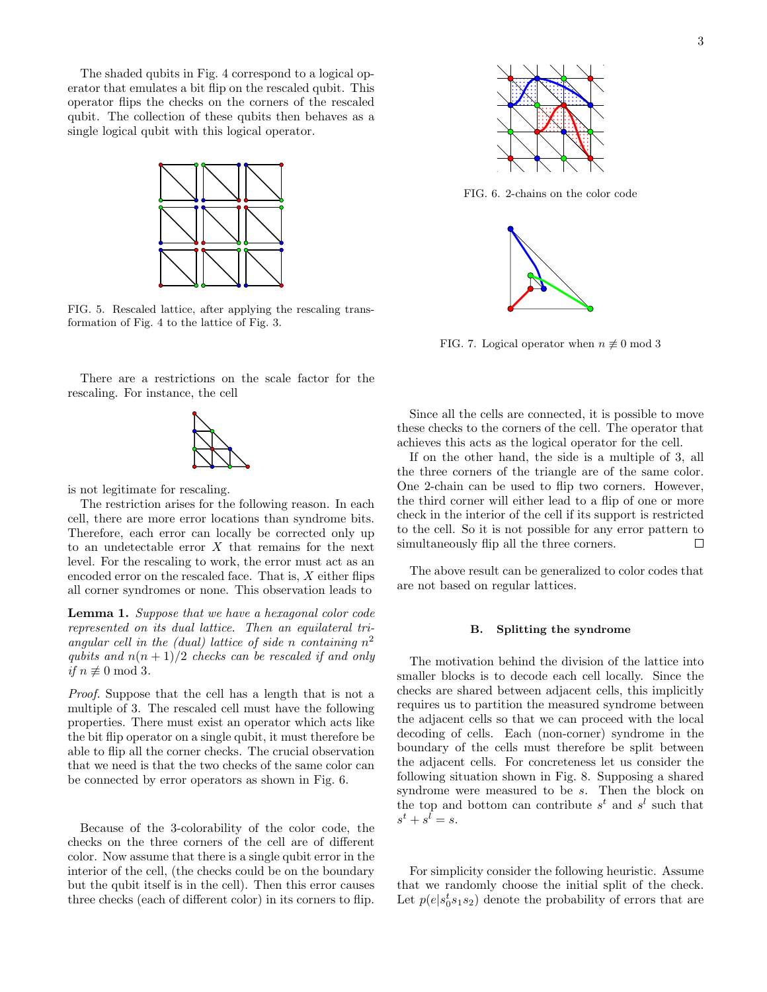The shaded qubits in Fig. 4 correspond to a logical operator that emulates a bit flip on the rescaled qubit. This operator flips the checks on the corners of the rescaled qubit. The collection of these qubits then behaves as a single logical qubit with this logical operator.



FIG. 5. Rescaled lattice, after applying the rescaling transformation of Fig. 4 to the lattice of Fig. 3.

There are a restrictions on the scale factor for the rescaling. For instance, the cell



is not legitimate for rescaling.

The restriction arises for the following reason. In each cell, there are more error locations than syndrome bits. Therefore, each error can locally be corrected only up to an undetectable error X that remains for the next level. For the rescaling to work, the error must act as an encoded error on the rescaled face. That is,  $X$  either flips all corner syndromes or none. This observation leads to

Lemma 1. Suppose that we have a hexagonal color code represented on its dual lattice. Then an equilateral triangular cell in the (dual) lattice of side n containing  $n^2$ qubits and  $n(n+1)/2$  checks can be rescaled if and only if  $n \not\equiv 0 \mod 3$ .

Proof. Suppose that the cell has a length that is not a multiple of 3. The rescaled cell must have the following properties. There must exist an operator which acts like the bit flip operator on a single qubit, it must therefore be able to flip all the corner checks. The crucial observation that we need is that the two checks of the same color can be connected by error operators as shown in Fig. 6.

Because of the 3-colorability of the color code, the checks on the three corners of the cell are of different color. Now assume that there is a single qubit error in the interior of the cell, (the checks could be on the boundary but the qubit itself is in the cell). Then this error causes three checks (each of different color) in its corners to flip.



FIG. 6. 2-chains on the color code



FIG. 7. Logical operator when  $n \not\equiv 0 \mod 3$ 

Since all the cells are connected, it is possible to move these checks to the corners of the cell. The operator that achieves this acts as the logical operator for the cell.

If on the other hand, the side is a multiple of 3, all the three corners of the triangle are of the same color. One 2-chain can be used to flip two corners. However, the third corner will either lead to a flip of one or more check in the interior of the cell if its support is restricted to the cell. So it is not possible for any error pattern to simultaneously flip all the three corners.  $\Box$ 

The above result can be generalized to color codes that are not based on regular lattices.

#### B. Splitting the syndrome

The motivation behind the division of the lattice into smaller blocks is to decode each cell locally. Since the checks are shared between adjacent cells, this implicitly requires us to partition the measured syndrome between the adjacent cells so that we can proceed with the local decoding of cells. Each (non-corner) syndrome in the boundary of the cells must therefore be split between the adjacent cells. For concreteness let us consider the following situation shown in Fig. 8. Supposing a shared syndrome were measured to be s. Then the block on the top and bottom can contribute  $s^t$  and  $s^l$  such that  $s^t + s^l = s.$ 

For simplicity consider the following heuristic. Assume that we randomly choose the initial split of the check. Let  $p(e|s_0^ts_1s_2)$  denote the probability of errors that are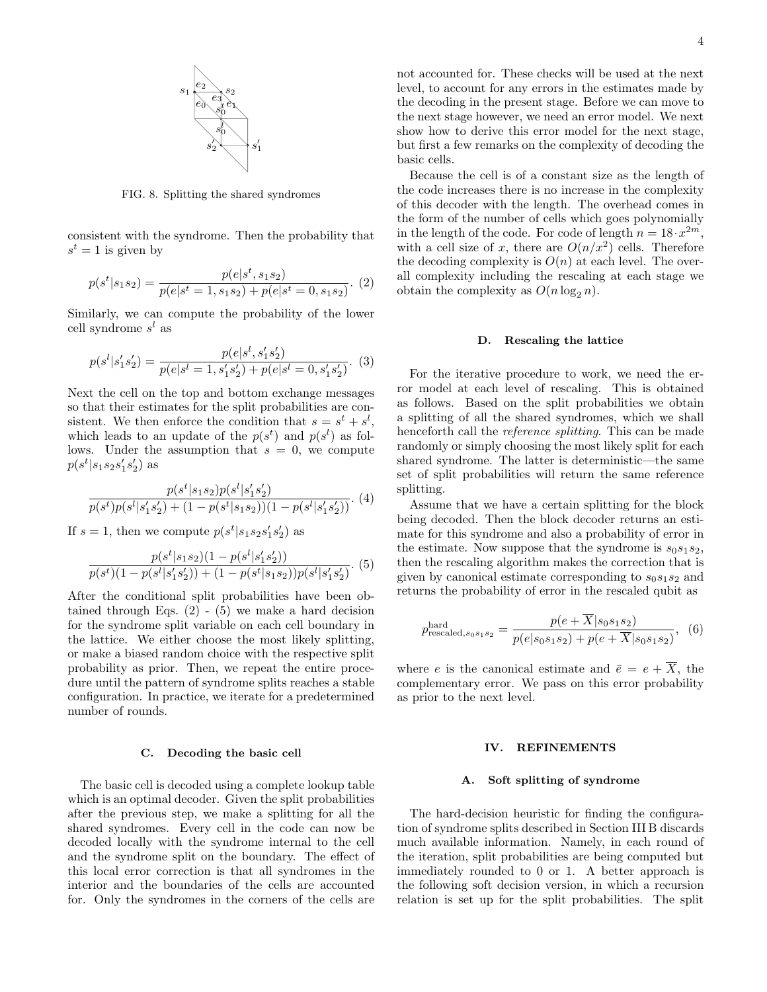

FIG. 8. Splitting the shared syndromes

consistent with the syndrome. Then the probability that  $s^t = 1$  is given by

$$
p(st|s1s2) = \frac{p(e|st, s1s2)}{p(e|st = 1, s1s2) + p(e|st = 0, s1s2)}.
$$
(2)

Similarly, we can compute the probability of the lower cell syndrome  $s^l$  as

$$
p(s^{l}|s'_{1}s'_{2}) = \frac{p(e|s^{l}, s'_{1}s'_{2})}{p(e|s^{l}=1, s'_{1}s'_{2}) + p(e|s^{l}=0, s'_{1}s'_{2})}.
$$
 (3)

Next the cell on the top and bottom exchange messages so that their estimates for the split probabilities are consistent. We then enforce the condition that  $s = s^t + s^l$ , which leads to an update of the  $p(s^t)$  and  $p(s^l)$  as follows. Under the assumption that  $s = 0$ , we compute  $p(s^t|s_1s_2s'_1s'_2)$  as

$$
\frac{p(s^t|s_1s_2)p(s^l|s_1's_2')}{p(s^t)p(s^l|s_1's_2') + (1-p(s^t|s_1s_2))(1-p(s^l|s_1's_2'))}.
$$
(4)

If  $s = 1$ , then we compute  $p(s^t | s_1 s_2 s_1' s_2')$  as

$$
\frac{p(s^t|s_1s_2)(1-p(s^l|s_1's_2'))}{p(s^t)(1-p(s^l|s_1's_2'))+(1-p(s^t|s_1s_2))p(s^l|s_1's_2')}.
$$
(5)

After the conditional split probabilities have been obtained through Eqs.  $(2)$  -  $(5)$  we make a hard decision for the syndrome split variable on each cell boundary in the lattice. We either choose the most likely splitting, or make a biased random choice with the respective split probability as prior. Then, we repeat the entire procedure until the pattern of syndrome splits reaches a stable configuration. In practice, we iterate for a predetermined number of rounds.

#### C. Decoding the basic cell

The basic cell is decoded using a complete lookup table which is an optimal decoder. Given the split probabilities after the previous step, we make a splitting for all the shared syndromes. Every cell in the code can now be decoded locally with the syndrome internal to the cell and the syndrome split on the boundary. The effect of this local error correction is that all syndromes in the interior and the boundaries of the cells are accounted for. Only the syndromes in the corners of the cells are

not accounted for. These checks will be used at the next level, to account for any errors in the estimates made by the decoding in the present stage. Before we can move to the next stage however, we need an error model. We next show how to derive this error model for the next stage, but first a few remarks on the complexity of decoding the basic cells.

Because the cell is of a constant size as the length of the code increases there is no increase in the complexity of this decoder with the length. The overhead comes in the form of the number of cells which goes polynomially in the length of the code. For code of length  $n = 18 \cdot x^{2m}$ , with a cell size of x, there are  $O(n/x^2)$  cells. Therefore the decoding complexity is  $O(n)$  at each level. The overall complexity including the rescaling at each stage we obtain the complexity as  $O(n \log_2 n)$ .

#### D. Rescaling the lattice

For the iterative procedure to work, we need the error model at each level of rescaling. This is obtained as follows. Based on the split probabilities we obtain a splitting of all the shared syndromes, which we shall henceforth call the *reference splitting*. This can be made randomly or simply choosing the most likely split for each shared syndrome. The latter is deterministic—the same set of split probabilities will return the same reference splitting.

Assume that we have a certain splitting for the block being decoded. Then the block decoder returns an estimate for this syndrome and also a probability of error in the estimate. Now suppose that the syndrome is  $s_0s_1s_2$ , then the rescaling algorithm makes the correction that is given by canonical estimate corresponding to  $s_0s_1s_2$  and returns the probability of error in the rescaled qubit as

$$
p_{\text{rescaled},s_0s_1s_2}^{\text{hard}} = \frac{p(e + \overline{X}|s_0s_1s_2)}{p(e|s_0s_1s_2) + p(e + \overline{X}|s_0s_1s_2)},\tag{6}
$$

where e is the canonical estimate and  $\bar{e} = e + \overline{X}$ , the complementary error. We pass on this error probability as prior to the next level.

#### IV. REFINEMENTS

#### A. Soft splitting of syndrome

The hard-decision heuristic for finding the configuration of syndrome splits described in Section III B discards much available information. Namely, in each round of the iteration, split probabilities are being computed but immediately rounded to 0 or 1. A better approach is the following soft decision version, in which a recursion relation is set up for the split probabilities. The split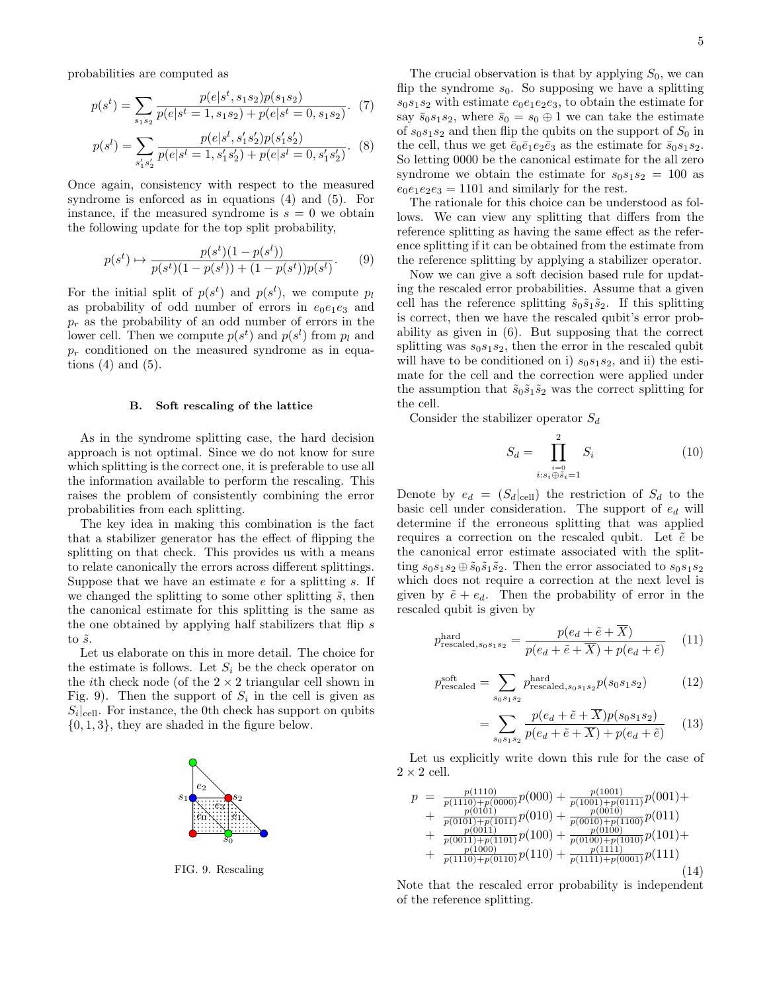probabilities are computed as

$$
p(s^t) = \sum_{s_1s_2} \frac{p(e|s^t, s_1s_2)p(s_1s_2)}{p(e|s^t = 1, s_1s_2) + p(e|s^t = 0, s_1s_2)}.
$$
 (7)

$$
p(s^{l}) = \sum_{s'_{1}s'_{2}} \frac{p(e|s^{l}, s'_{1}s'_{2})p(s'_{1}s'_{2})}{p(e|s^{l} = 1, s'_{1}s'_{2}) + p(e|s^{l} = 0, s'_{1}s'_{2})}.
$$
 (8)

Once again, consistency with respect to the measured syndrome is enforced as in equations (4) and (5). For instance, if the measured syndrome is  $s = 0$  we obtain the following update for the top split probability,

$$
p(s^t) \mapsto \frac{p(s^t)(1 - p(s^l))}{p(s^t)(1 - p(s^l)) + (1 - p(s^t))p(s^l)}.\tag{9}
$$

For the initial split of  $p(s^t)$  and  $p(s^l)$ , we compute  $p_l$ as probability of odd number of errors in  $e_0e_1e_3$  and  $p_r$  as the probability of an odd number of errors in the lower cell. Then we compute  $p(s^t)$  and  $p(s^l)$  from  $p_l$  and  $p_r$  conditioned on the measured syndrome as in equations  $(4)$  and  $(5)$ .

#### B. Soft rescaling of the lattice

As in the syndrome splitting case, the hard decision approach is not optimal. Since we do not know for sure which splitting is the correct one, it is preferable to use all the information available to perform the rescaling. This raises the problem of consistently combining the error probabilities from each splitting.

The key idea in making this combination is the fact that a stabilizer generator has the effect of flipping the splitting on that check. This provides us with a means to relate canonically the errors across different splittings. Suppose that we have an estimate  $e$  for a splitting  $s$ . If we changed the splitting to some other splitting  $\tilde{s}$ , then the canonical estimate for this splitting is the same as the one obtained by applying half stabilizers that flip s to  $\tilde{s}$ .

Let us elaborate on this in more detail. The choice for the estimate is follows. Let  $S_i$  be the check operator on the *i*th check node (of the  $2 \times 2$  triangular cell shown in Fig. 9). Then the support of  $S_i$  in the cell is given as  $S_i|_{\text{cell}}$ . For instance, the 0th check has support on qubits  $\{0, 1, 3\}$ , they are shaded in the figure below.



FIG. 9. Rescaling

The crucial observation is that by applying  $S_0$ , we can flip the syndrome  $s_0$ . So supposing we have a splitting  $s_0s_1s_2$  with estimate  $e_0e_1e_2e_3$ , to obtain the estimate for say  $\bar{s}_0s_1s_2$ , where  $\bar{s}_0 = s_0 \oplus 1$  we can take the estimate of  $s_0s_1s_2$  and then flip the qubits on the support of  $S_0$  in the cell, thus we get  $\bar{e}_0\bar{e}_1e_2\bar{e}_3$  as the estimate for  $\bar{s}_0s_1s_2$ . So letting 0000 be the canonical estimate for the all zero syndrome we obtain the estimate for  $s_0s_1s_2 = 100$  as  $e_0e_1e_2e_3 = 1101$  and similarly for the rest.

The rationale for this choice can be understood as follows. We can view any splitting that differs from the reference splitting as having the same effect as the reference splitting if it can be obtained from the estimate from the reference splitting by applying a stabilizer operator.

Now we can give a soft decision based rule for updating the rescaled error probabilities. Assume that a given cell has the reference splitting  $\tilde{s}_0 \tilde{s}_1 \tilde{s}_2$ . If this splitting is correct, then we have the rescaled qubit's error probability as given in (6). But supposing that the correct splitting was  $s_0s_1s_2$ , then the error in the rescaled qubit will have to be conditioned on i)  $s_0s_1s_2$ , and ii) the estimate for the cell and the correction were applied under the assumption that  $\tilde{s}_0 \tilde{s}_1 \tilde{s}_2$  was the correct splitting for the cell.

Consider the stabilizer operator  $S_d$ 

$$
S_d = \prod_{\substack{i=0 \ i:s_i \oplus \tilde{s}_i = 1}}^2 S_i \tag{10}
$$

Denote by  $e_d = (S_d|_{cell})$  the restriction of  $S_d$  to the basic cell under consideration. The support of  $e_d$  will determine if the erroneous splitting that was applied requires a correction on the rescaled qubit. Let  $\tilde{e}$  be the canonical error estimate associated with the splitting  $s_0s_1s_2 \oplus \tilde{s}_0\tilde{s}_1\tilde{s}_2$ . Then the error associated to  $s_0s_1s_2$ which does not require a correction at the next level is given by  $\tilde{e} + e_d$ . Then the probability of error in the rescaled qubit is given by

$$
p_{\text{rescaled},s_0s_1s_2}^{\text{hard}} = \frac{p(e_d + \tilde{e} + \overline{X})}{p(e_d + \tilde{e} + \overline{X}) + p(e_d + \tilde{e})}
$$
 (11)

$$
p_{\text{rescaled}}^{\text{soft}} = \sum_{s_0 s_1 s_2} p_{\text{rescaled}, s_0 s_1 s_2}^{\text{hard}} p(s_0 s_1 s_2)
$$
 (12)

$$
= \sum_{s_0 s_1 s_2} \frac{p(e_d + \tilde{e} + \overline{X}) p(s_0 s_1 s_2)}{p(e_d + \tilde{e} + \overline{X}) + p(e_d + \tilde{e})} \tag{13}
$$

Let us explicitly write down this rule for the case of  $2 \times 2$  cell.

$$
p = \frac{p(1110)}{p(110) + p(0000)} p(000) + \frac{p(1001)}{p(1001) + p(0111)} p(001) + \frac{p(0101)}{p(010) + p(1011)} p(010) + \frac{p(0010)}{p(001) + p(1100)} p(011) + \frac{p(0011)}{p(001) + p(1101)} p(100) + \frac{p(0100)}{p(010) + p(1010)} p(101) + \frac{p(1100)}{p(1100) + p(1100)} p(110) + \frac{p(1111)}{p(1111) + p(0001)} p(111)
$$
\n(14)

Note that the rescaled error probability is independent of the reference splitting.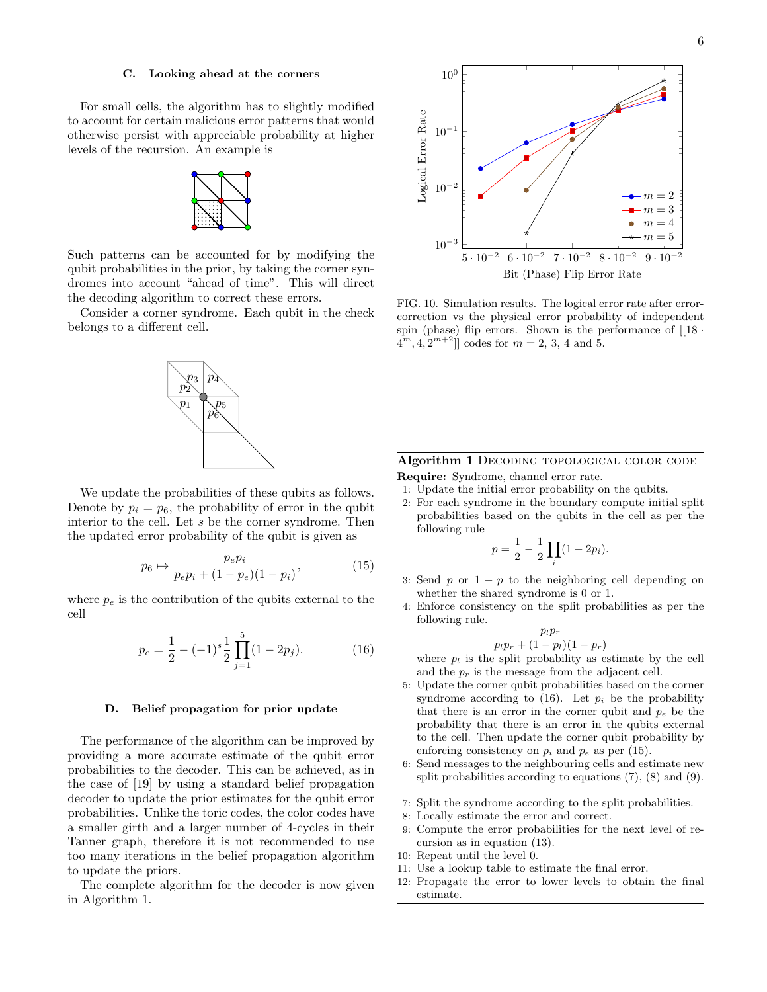#### C. Looking ahead at the corners

For small cells, the algorithm has to slightly modified to account for certain malicious error patterns that would otherwise persist with appreciable probability at higher levels of the recursion. An example is



Such patterns can be accounted for by modifying the qubit probabilities in the prior, by taking the corner syndromes into account "ahead of time". This will direct the decoding algorithm to correct these errors.

Consider a corner syndrome. Each qubit in the check belongs to a different cell.

> $p_5$  $p_{6}^{\star}$

 $\overline{p}_1$  $p_2^{\mathbf{r}}$  $p_3 \,|\, p_4$ 



$$
p_6 \mapsto \frac{p_e p_i}{p_e p_i + (1 - p_e)(1 - p_i)},
$$
\n(15)

where  $p_e$  is the contribution of the qubits external to the cell

$$
p_e = \frac{1}{2} - (-1)^s \frac{1}{2} \prod_{j=1}^5 (1 - 2p_j).
$$
 (16)

### D. Belief propagation for prior update

The performance of the algorithm can be improved by providing a more accurate estimate of the qubit error probabilities to the decoder. This can be achieved, as in the case of [19] by using a standard belief propagation decoder to update the prior estimates for the qubit error probabilities. Unlike the toric codes, the color codes have a smaller girth and a larger number of 4-cycles in their Tanner graph, therefore it is not recommended to use too many iterations in the belief propagation algorithm to update the priors.

The complete algorithm for the decoder is now given in Algorithm 1.



FIG. 10. Simulation results. The logical error rate after errorcorrection vs the physical error probability of independent spin (phase) flip errors. Shown is the performance of  $[18 \cdot$  $A^{m}, A, 2^{m+2}$ ] codes for  $m = 2, 3, 4$  and 5.

### Algorithm 1 DECODING TOPOLOGICAL COLOR CODE

Require: Syndrome, channel error rate.

- 1: Update the initial error probability on the qubits.
- 2: For each syndrome in the boundary compute initial split probabilities based on the qubits in the cell as per the following rule

$$
p = \frac{1}{2} - \frac{1}{2} \prod_{i} (1 - 2p_i).
$$

- 3: Send  $p$  or  $1 p$  to the neighboring cell depending on whether the shared syndrome is 0 or 1.
- 4: Enforce consistency on the split probabilities as per the following rule.

$$
\frac{p_lp_r}{p_lp_r+(1-p_l)(1-p_r)}
$$

where  $p_l$  is the split probability as estimate by the cell and the  $p_r$  is the message from the adjacent cell.

- 5: Update the corner qubit probabilities based on the corner syndrome according to (16). Let  $p_i$  be the probability that there is an error in the corner qubit and  $p_e$  be the probability that there is an error in the qubits external to the cell. Then update the corner qubit probability by enforcing consistency on  $p_i$  and  $p_e$  as per (15).
- 6: Send messages to the neighbouring cells and estimate new split probabilities according to equations (7), (8) and (9).
- 7: Split the syndrome according to the split probabilities.
- 8: Locally estimate the error and correct.
- 9: Compute the error probabilities for the next level of recursion as in equation (13).
- 10: Repeat until the level 0.
- 11: Use a lookup table to estimate the final error.
- 12: Propagate the error to lower levels to obtain the final estimate.